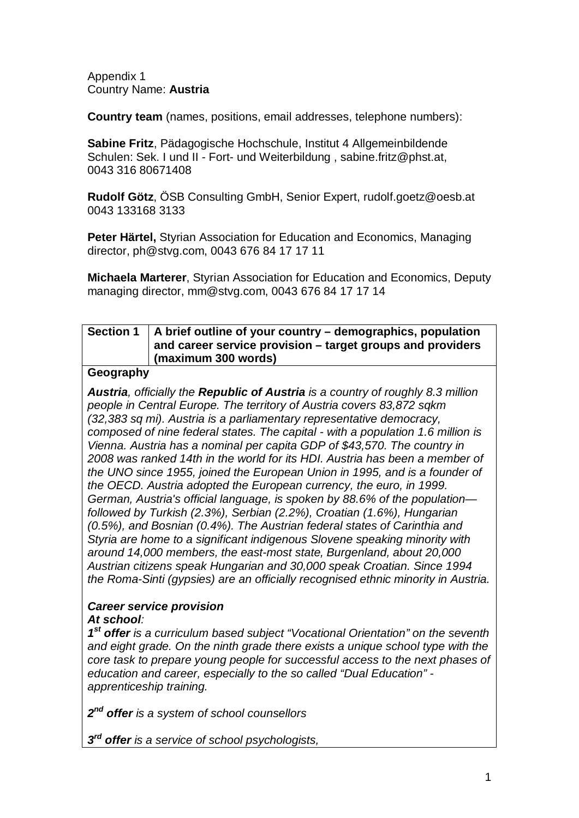Appendix 1 Country Name: **Austria** 

**Country team** (names, positions, email addresses, telephone numbers):

**Sabine Fritz**, Pädagogische Hochschule, Institut 4 Allgemeinbildende Schulen: Sek. I und II - Fort- und Weiterbildung , sabine.fritz@phst.at, 0043 316 80671408

**Rudolf Götz**, ÖSB Consulting GmbH, Senior Expert, [rudolf.goetz@oesb.at](mailto:rudolf.goetz@oesb.at) 0043 133168 3133

**Peter Härtel,** Styrian Association for Education and Economics, Managing director, [ph@stvg.com,](mailto:ph@stvg.com) 0043 676 84 17 17 11

**Michaela Marterer**, Styrian Association for Education and Economics, Deputy managing director, [mm@stvg.com,](mailto:mm@stvg.com) 0043 676 84 17 17 14

## **Section 1 A brief outline of your country – demographics, population and career service provision – target groups and providers (maximum 300 words)**

### **Geography**

*Austria, officially the Republic of Austria is a country of roughly 8.3 million people in Central Europe. The territory of Austria covers 83,872 sqkm (32,383 sq mi). Austria is a parliamentary representative democracy, composed of nine federal states. The capital - with a population 1.6 million is Vienna. Austria has a nominal per capita GDP of \$43,570. The country in 2008 was ranked 14th in the world for its HDI. Austria has been a member of the UNO since 1955, joined the European Union in 1995, and is a founder of the OECD. Austria adopted the European currency, the euro, in 1999. German, Austria's official language, is spoken by 88.6% of the population followed by Turkish (2.3%), Serbian (2.2%), Croatian (1.6%), Hungarian (0.5%), and Bosnian (0.4%). The Austrian federal states of Carinthia and Styria are home to a significant indigenous Slovene speaking minority with around 14,000 members, the east-most state, Burgenland, about 20,000 Austrian citizens speak Hungarian and 30,000 speak Croatian. Since 1994 the Roma-Sinti (gypsies) are an officially recognised ethnic minority in Austria.*

#### *Career service provision At school:*

*1st offer is a curriculum based subject "Vocational Orientation" on the seventh and eight grade. On the ninth grade there exists a unique school type with the core task to prepare young people for successful access to the next phases of education and career, especially to the so called "Dual Education" apprenticeship training.* 

*2nd offer is a system of school counsellors* 

*3rd offer is a service of school psychologists,*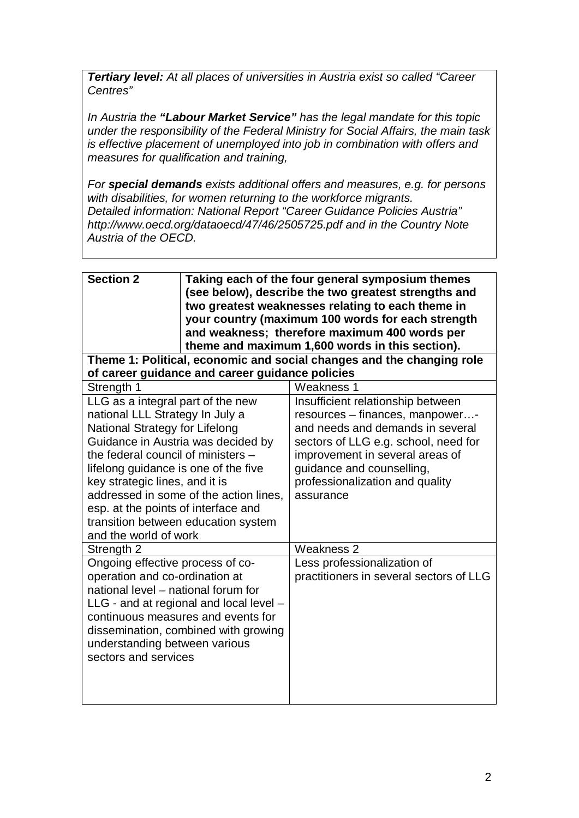*Tertiary level: At all places of universities in Austria exist so called "Career Centres"* 

*In Austria the "Labour Market Service" has the legal mandate for this topic under the responsibility of the Federal Ministry for Social Affairs, the main task is effective placement of unemployed into job in combination with offers and measures for qualification and training,* 

*For special demands exists additional offers and measures, e.g. for persons with disabilities, for women returning to the workforce migrants. Detailed information: National Report "Career Guidance Policies Austria" <http://www.oecd.org/dataoecd/47/46/2505725.pdf> and in the Country Note Austria of the OECD.*

| <b>Section 2</b>                                                                                                                                                                                                                                                                                                                                                                                              | Taking each of the four general symposium themes<br>(see below), describe the two greatest strengths and<br>two greatest weaknesses relating to each theme in<br>your country (maximum 100 words for each strength<br>and weakness; therefore maximum 400 words per<br>theme and maximum 1,600 words in this section). |  |  |  |  |  |  |
|---------------------------------------------------------------------------------------------------------------------------------------------------------------------------------------------------------------------------------------------------------------------------------------------------------------------------------------------------------------------------------------------------------------|------------------------------------------------------------------------------------------------------------------------------------------------------------------------------------------------------------------------------------------------------------------------------------------------------------------------|--|--|--|--|--|--|
| Theme 1: Political, economic and social changes and the changing role<br>of career guidance and career guidance policies                                                                                                                                                                                                                                                                                      |                                                                                                                                                                                                                                                                                                                        |  |  |  |  |  |  |
| Strength 1                                                                                                                                                                                                                                                                                                                                                                                                    | <b>Weakness 1</b>                                                                                                                                                                                                                                                                                                      |  |  |  |  |  |  |
| LLG as a integral part of the new<br>national LLL Strategy In July a<br>National Strategy for Lifelong<br>Guidance in Austria was decided by<br>the federal council of ministers -<br>lifelong guidance is one of the five<br>key strategic lines, and it is<br>addressed in some of the action lines,<br>esp. at the points of interface and<br>transition between education system<br>and the world of work | Insufficient relationship between<br>resources - finances, manpower-<br>and needs and demands in several<br>sectors of LLG e.g. school, need for<br>improvement in several areas of<br>guidance and counselling,<br>professionalization and quality<br>assurance                                                       |  |  |  |  |  |  |
| Strength 2                                                                                                                                                                                                                                                                                                                                                                                                    | Weakness 2                                                                                                                                                                                                                                                                                                             |  |  |  |  |  |  |
| Ongoing effective process of co-<br>operation and co-ordination at<br>national level - national forum for<br>$LLG$ - and at regional and local level $-$<br>continuous measures and events for<br>dissemination, combined with growing<br>understanding between various<br>sectors and services                                                                                                               | Less professionalization of<br>practitioners in several sectors of LLG                                                                                                                                                                                                                                                 |  |  |  |  |  |  |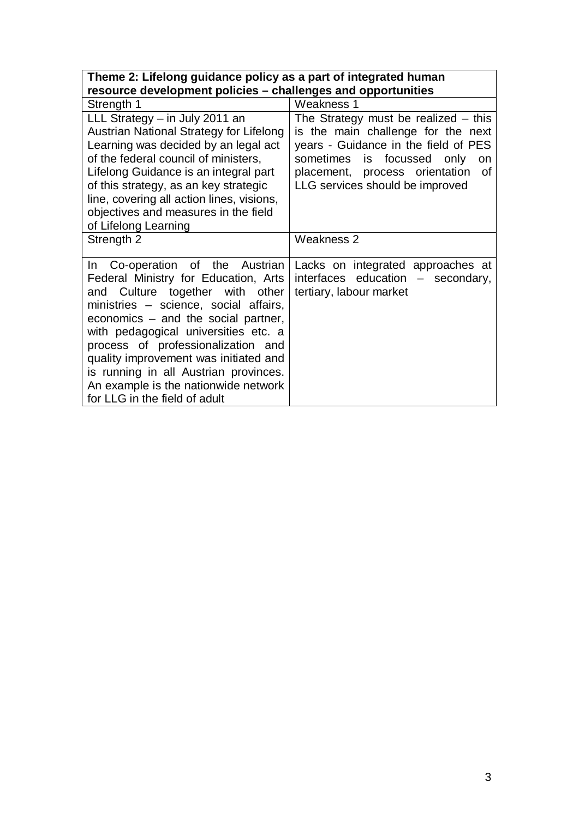| Theme 2: Lifelong guidance policy as a part of integrated human                                                                                                                                                                                                                                                                                                                                                                       |                                                                                                                                                                                                                                     |  |  |  |  |  |
|---------------------------------------------------------------------------------------------------------------------------------------------------------------------------------------------------------------------------------------------------------------------------------------------------------------------------------------------------------------------------------------------------------------------------------------|-------------------------------------------------------------------------------------------------------------------------------------------------------------------------------------------------------------------------------------|--|--|--|--|--|
| resource development policies - challenges and opportunities                                                                                                                                                                                                                                                                                                                                                                          |                                                                                                                                                                                                                                     |  |  |  |  |  |
| Strength 1                                                                                                                                                                                                                                                                                                                                                                                                                            | <b>Weakness 1</b>                                                                                                                                                                                                                   |  |  |  |  |  |
| LLL Strategy - in July 2011 an<br>Austrian National Strategy for Lifelong<br>Learning was decided by an legal act<br>of the federal council of ministers,<br>Lifelong Guidance is an integral part<br>of this strategy, as an key strategic<br>line, covering all action lines, visions,<br>objectives and measures in the field<br>of Lifelong Learning                                                                              | The Strategy must be realized $-$ this<br>is the main challenge for the next<br>years - Guidance in the field of PES<br>sometimes is focussed only<br>on<br>placement, process orientation<br>of<br>LLG services should be improved |  |  |  |  |  |
| Strength 2                                                                                                                                                                                                                                                                                                                                                                                                                            | Weakness 2                                                                                                                                                                                                                          |  |  |  |  |  |
| In Co-operation of the Austrian<br>Federal Ministry for Education, Arts<br>and Culture together with other<br>ministries - science, social affairs,<br>economics $-$ and the social partner,<br>with pedagogical universities etc. a<br>process of professionalization and<br>quality improvement was initiated and<br>is running in all Austrian provinces.<br>An example is the nationwide network<br>for LLG in the field of adult | Lacks on integrated approaches at<br>interfaces education - secondary,<br>tertiary, labour market                                                                                                                                   |  |  |  |  |  |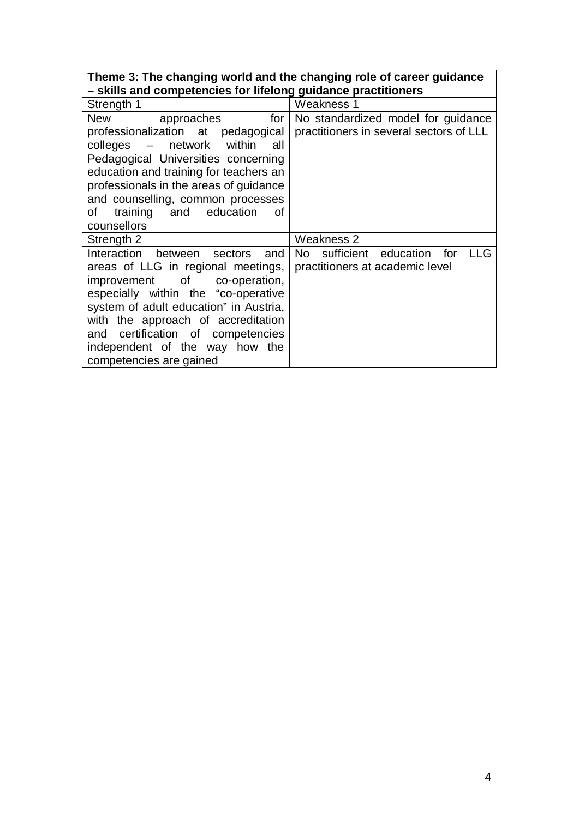| Theme 3: The changing world and the changing role of career guidance |
|----------------------------------------------------------------------|
|                                                                      |
| - skills and competencies for lifelong guidance practitioners        |

| Strength 1                                                                                                                                                                                                                                                                                                                        | Weakness 1                                                                    |
|-----------------------------------------------------------------------------------------------------------------------------------------------------------------------------------------------------------------------------------------------------------------------------------------------------------------------------------|-------------------------------------------------------------------------------|
| for<br>New<br>approaches<br>professionalization at pedagogical<br>colleges – network within<br>all<br>Pedagogical Universities concerning<br>education and training for teachers an<br>professionals in the areas of guidance<br>and counselling, common processes<br>training and education<br>of<br>οf<br>counsellors           | No standardized model for guidance<br>practitioners in several sectors of LLL |
| Strength 2                                                                                                                                                                                                                                                                                                                        | Weakness 2                                                                    |
| Interaction between sectors<br>and<br>areas of LLG in regional meetings,<br>improvement of co-operation,<br>especially within the "co-operative<br>system of adult education" in Austria,<br>with the approach of accreditation<br>and certification of competencies<br>independent of the way how the<br>competencies are gained | No sufficient education for<br>LLG<br>practitioners at academic level         |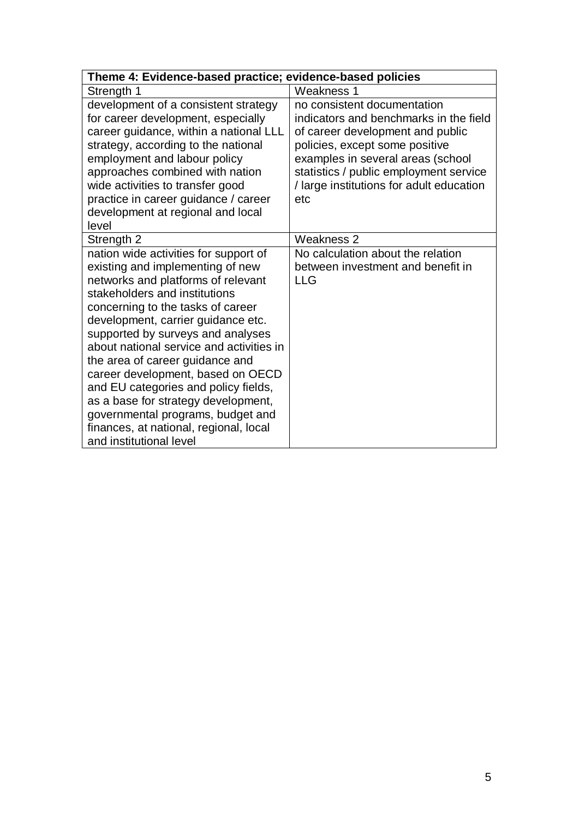| Theme 4: Evidence-based practice; evidence-based policies                                                                                                                                                                                                                                                                                                                                                                                                                                                                                                                     |                                                                                                                                                                                                                                                                               |  |  |  |
|-------------------------------------------------------------------------------------------------------------------------------------------------------------------------------------------------------------------------------------------------------------------------------------------------------------------------------------------------------------------------------------------------------------------------------------------------------------------------------------------------------------------------------------------------------------------------------|-------------------------------------------------------------------------------------------------------------------------------------------------------------------------------------------------------------------------------------------------------------------------------|--|--|--|
| Strength 1                                                                                                                                                                                                                                                                                                                                                                                                                                                                                                                                                                    | Weakness 1                                                                                                                                                                                                                                                                    |  |  |  |
| development of a consistent strategy<br>for career development, especially<br>career guidance, within a national LLL<br>strategy, according to the national<br>employment and labour policy<br>approaches combined with nation<br>wide activities to transfer good<br>practice in career guidance / career<br>development at regional and local<br>level                                                                                                                                                                                                                      | no consistent documentation<br>indicators and benchmarks in the field<br>of career development and public<br>policies, except some positive<br>examples in several areas (school<br>statistics / public employment service<br>/ large institutions for adult education<br>etc |  |  |  |
| Strength 2                                                                                                                                                                                                                                                                                                                                                                                                                                                                                                                                                                    | Weakness 2                                                                                                                                                                                                                                                                    |  |  |  |
| nation wide activities for support of<br>existing and implementing of new<br>networks and platforms of relevant<br>stakeholders and institutions<br>concerning to the tasks of career<br>development, carrier guidance etc.<br>supported by surveys and analyses<br>about national service and activities in<br>the area of career guidance and<br>career development, based on OECD<br>and EU categories and policy fields,<br>as a base for strategy development,<br>governmental programs, budget and<br>finances, at national, regional, local<br>and institutional level | No calculation about the relation<br>between investment and benefit in<br><b>LLG</b>                                                                                                                                                                                          |  |  |  |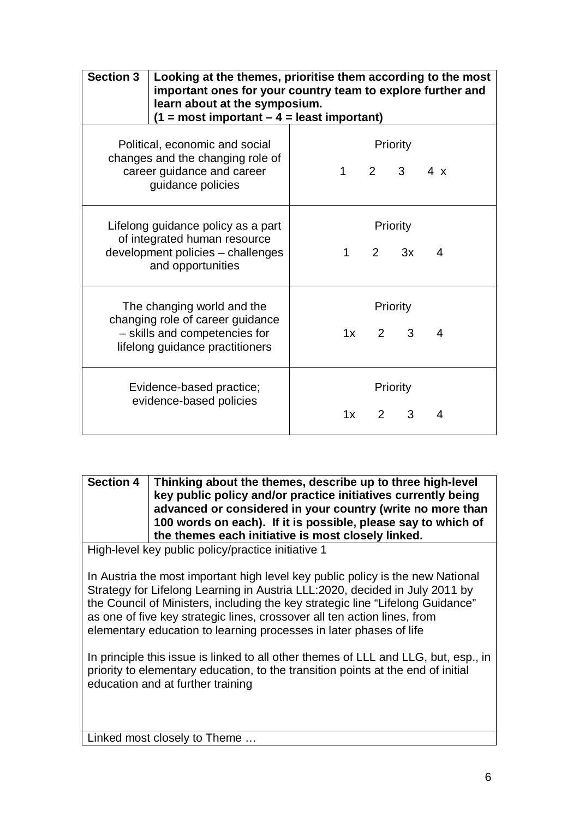| <b>Section 3</b> | Looking at the themes, prioritise them according to the most<br>important ones for your country team to explore further and<br>learn about at the symposium.<br>$(1 = most important - 4 = least important)$ |  |           |             |                              |            |  |  |
|------------------|--------------------------------------------------------------------------------------------------------------------------------------------------------------------------------------------------------------|--|-----------|-------------|------------------------------|------------|--|--|
|                  | Political, economic and social<br>changes and the changing role of<br>career guidance and career<br>guidance policies                                                                                        |  |           |             | Priority<br>$2 \quad 3$      | $4 \times$ |  |  |
|                  | Lifelong guidance policy as a part<br>of integrated human resource<br>development policies - challenges<br>and opportunities                                                                                 |  | $1 \quad$ | $2^{\circ}$ | Priority<br>3x               | 4          |  |  |
|                  | The changing world and the<br>changing role of career guidance<br>- skills and competencies for<br>lifelong guidance practitioners                                                                           |  |           |             | Priority<br>$1x$ 2 3         | 4          |  |  |
|                  | Evidence-based practice;<br>evidence-based policies                                                                                                                                                          |  | 1x        |             | Priority<br>$2^{\circ}$<br>3 | 4          |  |  |

**Section 4 Thinking about the themes, describe up to three high-level key public policy and/or practice initiatives currently being advanced or considered in your country (write no more than 100 words on each). If it is possible, please say to which of the themes each initiative is most closely linked.**

High-level key public policy/practice initiative 1

In Austria the most important high level key public policy is the new National Strategy for Lifelong Learning in Austria LLL:2020, decided in July 2011 by the Council of Ministers, including the key strategic line "Lifelong Guidance" as one of five key strategic lines, crossover all ten action lines, from elementary education to learning processes in later phases of life

In principle this issue is linked to all other themes of LLL and LLG, but, esp., in priority to elementary education, to the transition points at the end of initial education and at further training

Linked most closely to Theme …